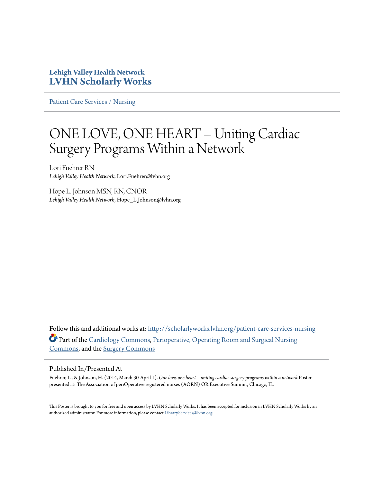#### **Lehigh Valley Health Network [LVHN Scholarly Works](http://scholarlyworks.lvhn.org?utm_source=scholarlyworks.lvhn.org%2Fpatient-care-services-nursing%2F318&utm_medium=PDF&utm_campaign=PDFCoverPages)**

[Patient Care Services / Nursing](http://scholarlyworks.lvhn.org/patient-care-services-nursing?utm_source=scholarlyworks.lvhn.org%2Fpatient-care-services-nursing%2F318&utm_medium=PDF&utm_campaign=PDFCoverPages)

#### ONE LOVE, ONE HEART – Uniting Cardiac Surgery Programs Within a Network

Lori Fuehrer RN *Lehigh Valley Health Network*, Lori.Fuehrer@lvhn.org

Hope L. Johnson MSN, RN, CNOR *Lehigh Valley Health Network*, Hope\_L.Johnson@lvhn.org

Follow this and additional works at: [http://scholarlyworks.lvhn.org/patient-care-services-nursing](http://scholarlyworks.lvhn.org/patient-care-services-nursing?utm_source=scholarlyworks.lvhn.org%2Fpatient-care-services-nursing%2F318&utm_medium=PDF&utm_campaign=PDFCoverPages) Part of the [Cardiology Commons](http://network.bepress.com/hgg/discipline/683?utm_source=scholarlyworks.lvhn.org%2Fpatient-care-services-nursing%2F318&utm_medium=PDF&utm_campaign=PDFCoverPages), [Perioperative, Operating Room and Surgical Nursing](http://network.bepress.com/hgg/discipline/726?utm_source=scholarlyworks.lvhn.org%2Fpatient-care-services-nursing%2F318&utm_medium=PDF&utm_campaign=PDFCoverPages) [Commons,](http://network.bepress.com/hgg/discipline/726?utm_source=scholarlyworks.lvhn.org%2Fpatient-care-services-nursing%2F318&utm_medium=PDF&utm_campaign=PDFCoverPages) and the [Surgery Commons](http://network.bepress.com/hgg/discipline/706?utm_source=scholarlyworks.lvhn.org%2Fpatient-care-services-nursing%2F318&utm_medium=PDF&utm_campaign=PDFCoverPages)

#### Published In/Presented At

Fuehrer, L., & Johnson, H. (2014, March 30-April 1). *One love, one heart – uniting cardiac surgery programs within a network.*Poster presented at: The Association of periOperative registered nurses (AORN) OR Executive Summit, Chicago, IL.

This Poster is brought to you for free and open access by LVHN Scholarly Works. It has been accepted for inclusion in LVHN Scholarly Works by an authorized administrator. For more information, please contact [LibraryServices@lvhn.org.](mailto:LibraryServices@lvhn.org)